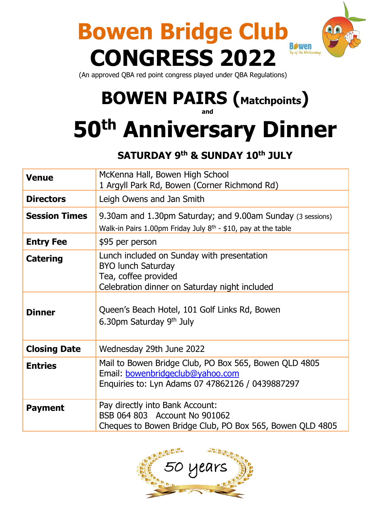

(An approved QBA red point congress played under QBA Regulations)

## **BOWEN PAIRS (Matchpoints)**

**and**

# **50th Anniversary Dinner**

#### **SATURDAY 9 th & SUNDAY 10 th JULY**

| <b>Venue</b>         | McKenna Hall, Bowen High School<br>1 Argyll Park Rd, Bowen (Corner Richmond Rd)                                                                  |  |
|----------------------|--------------------------------------------------------------------------------------------------------------------------------------------------|--|
| <b>Directors</b>     | Leigh Owens and Jan Smith                                                                                                                        |  |
| <b>Session Times</b> | 9.30am and 1.30pm Saturday; and 9.00am Sunday (3 sessions)<br>Walk-in Pairs 1.00pm Friday July 8 <sup>th</sup> - \$10, pay at the table          |  |
| <b>Entry Fee</b>     | \$95 per person                                                                                                                                  |  |
| <b>Catering</b>      | Lunch included on Sunday with presentation<br><b>BYO lunch Saturday</b><br>Tea, coffee provided<br>Celebration dinner on Saturday night included |  |
| <b>Dinner</b>        | Queen's Beach Hotel, 101 Golf Links Rd, Bowen<br>6.30pm Saturday 9th July                                                                        |  |
| <b>Closing Date</b>  | Wednesday 29th June 2022                                                                                                                         |  |
| <b>Entries</b>       | Mail to Bowen Bridge Club, PO Box 565, Bowen QLD 4805<br>Email: bowenbridgeclub@yahoo.com<br>Enquiries to: Lyn Adams 07 47862126 / 0439887297    |  |
| <b>Payment</b>       | Pay directly into Bank Account:<br>BSB 064 803 Account No 901062<br>Cheques to Bowen Bridge Club, PO Box 565, Bowen QLD 4805                     |  |